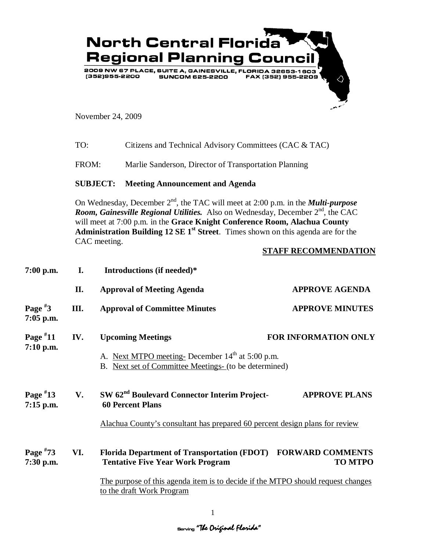

November 24, 2009

| TO: | Citizens and Technical Advisory Committees (CAC & TAC) |
|-----|--------------------------------------------------------|
|-----|--------------------------------------------------------|

FROM: Marlie Sanderson, Director of Transportation Planning

## **SUBJECT: Meeting Announcement and Agenda**

On Wednesday, December 2<sup>nd</sup>, the TAC will meet at 2:00 p.m. in the *Multi-purpose Room, Gainesville Regional Utilities.* Also on Wednesday, December 2<sup>nd</sup>, the CAC will meet at 7:00 p.m. in the **Grace Knight Conference Room, Alachua County**  Administration Building 12 SE 1<sup>st</sup> Street. Times shown on this agenda are for the CAC meeting.

## **STAFF RECOMMENDATION**

| 7:00 p.m.                 | I.  | Introductions (if needed)*                                                                                                                                                                                    |                                           |
|---------------------------|-----|---------------------------------------------------------------------------------------------------------------------------------------------------------------------------------------------------------------|-------------------------------------------|
|                           | П.  | <b>Approval of Meeting Agenda</b>                                                                                                                                                                             | <b>APPROVE AGENDA</b>                     |
| Page $*3$<br>$7:05$ p.m.  | Ш.  | <b>Approval of Committee Minutes</b>                                                                                                                                                                          | <b>APPROVE MINUTES</b>                    |
| Page $*11$<br>$7:10$ p.m. | IV. | <b>Upcoming Meetings</b><br>A. Next MTPO meeting-December 14 <sup>th</sup> at 5:00 p.m.<br>B. Next set of Committee Meetings- (to be determined)                                                              | <b>FOR INFORMATION ONLY</b>               |
| Page $*13$<br>$7:15$ p.m. | V.  | SW 62 <sup>nd</sup> Boulevard Connector Interim Project-<br><b>60 Percent Plans</b><br>Alachua County's consultant has prepared 60 percent design plans for review                                            | <b>APPROVE PLANS</b>                      |
| Page $*73$<br>7:30 p.m.   | VI. | <b>Florida Department of Transportation (FDOT)</b><br><b>Tentative Five Year Work Program</b><br>The purpose of this agenda item is to decide if the MTPO should request changes<br>to the draft Work Program | <b>FORWARD COMMENTS</b><br><b>TO MTPO</b> |